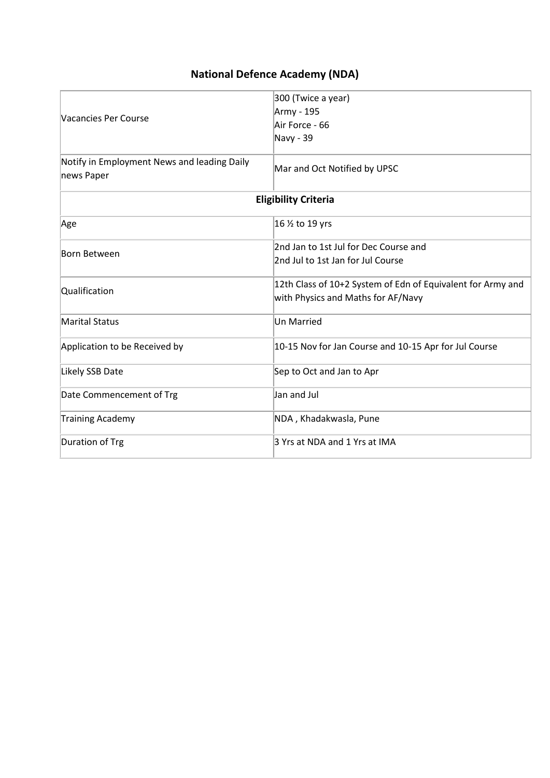| <b>National Defence Academy (NDA)</b> |  |  |  |
|---------------------------------------|--|--|--|
|---------------------------------------|--|--|--|

|                                                           | 300 (Twice a year)                                          |
|-----------------------------------------------------------|-------------------------------------------------------------|
|                                                           | Army - 195                                                  |
| Vacancies Per Course                                      | Air Force - 66                                              |
|                                                           | Navy - 39                                                   |
| Notify in Employment News and leading Daily<br>news Paper | Mar and Oct Notified by UPSC                                |
|                                                           | <b>Eligibility Criteria</b>                                 |
| Age                                                       | 16 1/2 to 19 yrs                                            |
|                                                           | 2nd Jan to 1st Jul for Dec Course and                       |
| Born Between                                              | 2nd Jul to 1st Jan for Jul Course                           |
|                                                           | 12th Class of 10+2 System of Edn of Equivalent for Army and |
| Qualification                                             | with Physics and Maths for AF/Navy                          |
| <b>Marital Status</b>                                     | <b>Un Married</b>                                           |
| Application to be Received by                             | 10-15 Nov for Jan Course and 10-15 Apr for Jul Course       |
| Likely SSB Date                                           | Sep to Oct and Jan to Apr                                   |
| Date Commencement of Trg                                  | Jan and Jul                                                 |
| <b>Training Academy</b>                                   | NDA, Khadakwasla, Pune                                      |
| Duration of Trg                                           | 3 Yrs at NDA and 1 Yrs at IMA                               |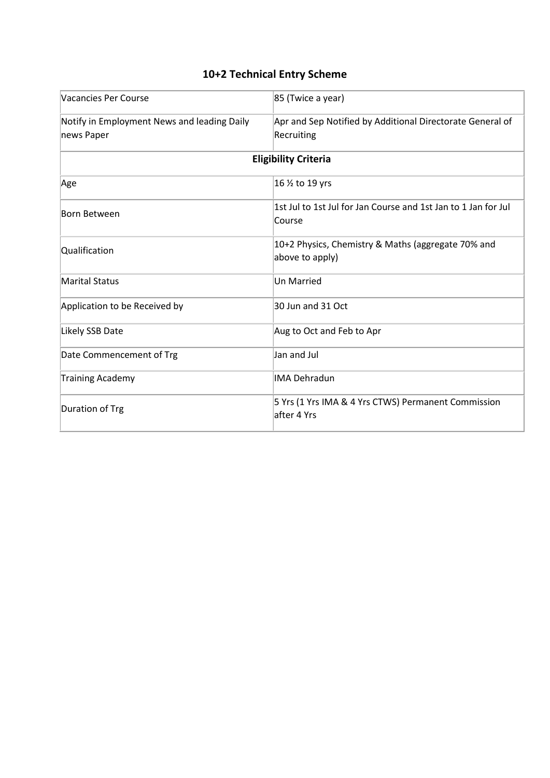### **10+2 Technical Entry Scheme**

| Vacancies Per Course                        | 85 (Twice a year)                                                        |
|---------------------------------------------|--------------------------------------------------------------------------|
| Notify in Employment News and leading Daily | Apr and Sep Notified by Additional Directorate General of                |
| news Paper                                  | Recruiting                                                               |
|                                             | <b>Eligibility Criteria</b>                                              |
| Age                                         | 16 1/2 to 19 yrs                                                         |
| <b>Born Between</b>                         | 1st Jul to 1st Jul for Jan Course and 1st Jan to 1 Jan for Jul<br>Course |
| Qualification                               | 10+2 Physics, Chemistry & Maths (aggregate 70% and<br>above to apply)    |
| <b>Marital Status</b>                       | <b>Un Married</b>                                                        |
| Application to be Received by               | 30 Jun and 31 Oct                                                        |
| Likely SSB Date                             | Aug to Oct and Feb to Apr                                                |
| Date Commencement of Trg                    | Jan and Jul                                                              |
| <b>Training Academy</b>                     | <b>IMA Dehradun</b>                                                      |
| Duration of Trg                             | 5 Yrs (1 Yrs IMA & 4 Yrs CTWS) Permanent Commission<br>after 4 Yrs       |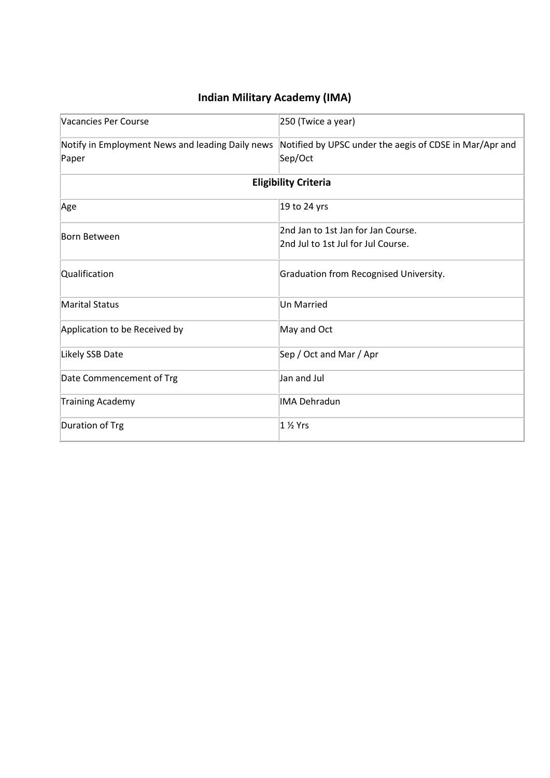# **Indian Military Academy (IMA)**

| Vacancies Per Course                                      | 250 (Twice a year)                                                       |
|-----------------------------------------------------------|--------------------------------------------------------------------------|
| Notify in Employment News and leading Daily news<br>Paper | Notified by UPSC under the aegis of CDSE in Mar/Apr and<br>Sep/Oct       |
|                                                           | <b>Eligibility Criteria</b>                                              |
| Age                                                       | 19 to 24 yrs                                                             |
| Born Between                                              | 2nd Jan to 1st Jan for Jan Course.<br>2nd Jul to 1st Jul for Jul Course. |
| Qualification                                             | Graduation from Recognised University.                                   |
| <b>Marital Status</b>                                     | <b>Un Married</b>                                                        |
| Application to be Received by                             | May and Oct                                                              |
| Likely SSB Date                                           | Sep / Oct and Mar / Apr                                                  |
| Date Commencement of Trg                                  | Jan and Jul                                                              |
| <b>Training Academy</b>                                   | <b>IMA Dehradun</b>                                                      |
| Duration of Trg                                           | $12$ Yrs                                                                 |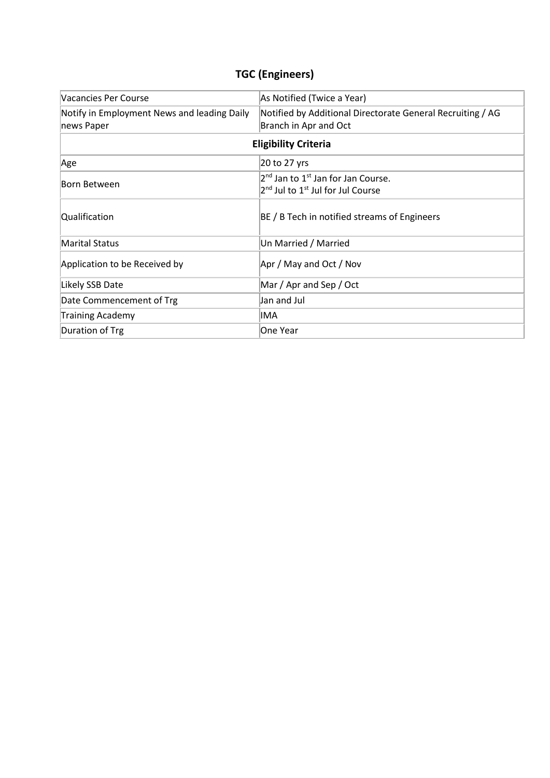# **TGC (Engineers)**

| Vacancies Per Course                                      | As Notified (Twice a Year)                                                                                              |  |
|-----------------------------------------------------------|-------------------------------------------------------------------------------------------------------------------------|--|
| Notify in Employment News and leading Daily<br>news Paper | Notified by Additional Directorate General Recruiting / AG<br>Branch in Apr and Oct                                     |  |
| <b>Eligibility Criteria</b>                               |                                                                                                                         |  |
| Age                                                       | 20 to 27 yrs                                                                                                            |  |
| Born Between                                              | 2 <sup>nd</sup> Jan to 1 <sup>st</sup> Jan for Jan Course.<br>2 <sup>nd</sup> Jul to 1 <sup>st</sup> Jul for Jul Course |  |
| Qualification                                             | BE / B Tech in notified streams of Engineers                                                                            |  |
| <b>Marital Status</b>                                     | Un Married / Married                                                                                                    |  |
| Application to be Received by                             | Apr / May and Oct / Nov                                                                                                 |  |
| Likely SSB Date                                           | Mar / Apr and Sep / Oct                                                                                                 |  |
| Date Commencement of Trg                                  | Jan and Jul                                                                                                             |  |
| <b>Training Academy</b>                                   | IMA                                                                                                                     |  |
| Duration of Trg                                           | One Year                                                                                                                |  |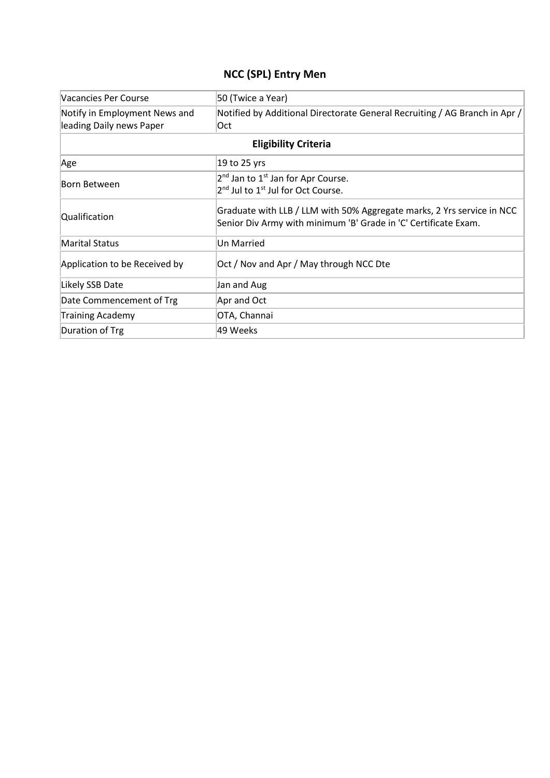### **NCC (SPL) Entry Men**

| Vacancies Per Course          | 50 (Twice a Year)                                                                                                                         |  |
|-------------------------------|-------------------------------------------------------------------------------------------------------------------------------------------|--|
| Notify in Employment News and | Notified by Additional Directorate General Recruiting / AG Branch in Apr /                                                                |  |
| leading Daily news Paper      | Oct                                                                                                                                       |  |
| <b>Eligibility Criteria</b>   |                                                                                                                                           |  |
| Age                           | 19 to 25 yrs                                                                                                                              |  |
| Born Between                  | $2nd$ Jan to $1st$ Jan for Apr Course.                                                                                                    |  |
|                               | 2 <sup>nd</sup> Jul to 1 <sup>st</sup> Jul for Oct Course.                                                                                |  |
| Qualification                 | Graduate with LLB / LLM with 50% Aggregate marks, 2 Yrs service in NCC<br>Senior Div Army with minimum 'B' Grade in 'C' Certificate Exam. |  |
| <b>Marital Status</b>         | Un Married                                                                                                                                |  |
| Application to be Received by | Oct / Nov and Apr / May through NCC Dte                                                                                                   |  |
| Likely SSB Date               | Jan and Aug                                                                                                                               |  |
| Date Commencement of Trg      | Apr and Oct                                                                                                                               |  |
| <b>Training Academy</b>       | OTA, Channai                                                                                                                              |  |
| Duration of Trg               | 49 Weeks                                                                                                                                  |  |